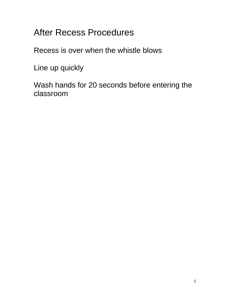After Recess Procedures

Recess is over when the whistle blows

Line up quickly

Wash hands for 20 seconds before entering the classroom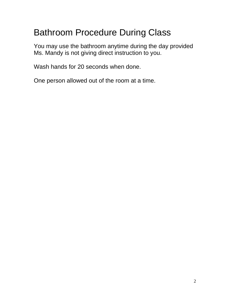# Bathroom Procedure During Class

You may use the bathroom anytime during the day provided Ms. Mandy is not giving direct instruction to you.

Wash hands for 20 seconds when done.

One person allowed out of the room at a time.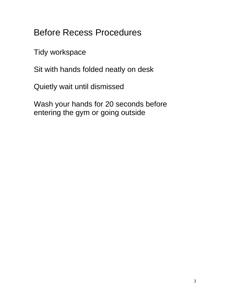Before Recess Procedures

Tidy workspace

Sit with hands folded neatly on desk

Quietly wait until dismissed

Wash your hands for 20 seconds before entering the gym or going outside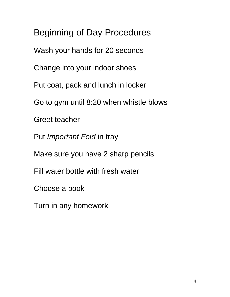Beginning of Day Procedures Wash your hands for 20 seconds Change into your indoor shoes Put coat, pack and lunch in locker Go to gym until 8:20 when whistle blows Greet teacher Put *Important Fold* in tray Make sure you have 2 sharp pencils Fill water bottle with fresh water Choose a book Turn in any homework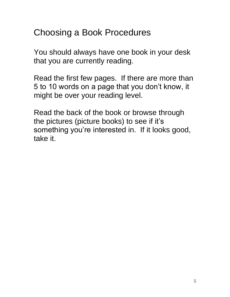### Choosing a Book Procedures

You should always have one book in your desk that you are currently reading.

Read the first few pages. If there are more than 5 to 10 words on a page that you don't know, it might be over your reading level.

Read the back of the book or browse through the pictures (picture books) to see if it's something you're interested in. If it looks good, take it.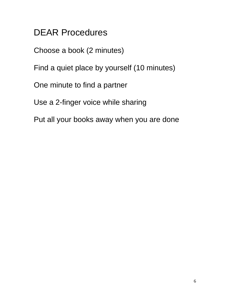DEAR Procedures

Choose a book (2 minutes)

Find a quiet place by yourself (10 minutes)

One minute to find a partner

Use a 2-finger voice while sharing

Put all your books away when you are done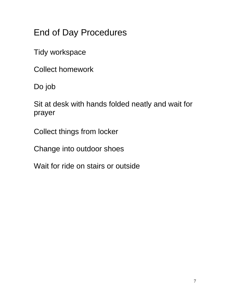End of Day Procedures

Tidy workspace

Collect homework

Do job

Sit at desk with hands folded neatly and wait for prayer

Collect things from locker

Change into outdoor shoes

Wait for ride on stairs or outside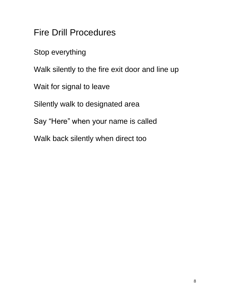Fire Drill Procedures

Stop everything

Walk silently to the fire exit door and line up

Wait for signal to leave

Silently walk to designated area

Say "Here" when your name is called

Walk back silently when direct too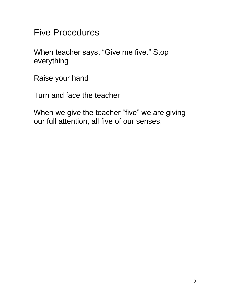Five Procedures

When teacher says, "Give me five." Stop everything

Raise your hand

Turn and face the teacher

When we give the teacher "five" we are giving our full attention, all five of our senses.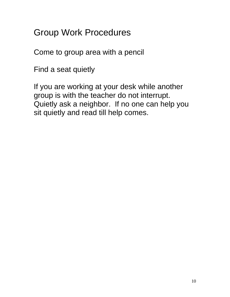Group Work Procedures

Come to group area with a pencil

Find a seat quietly

If you are working at your desk while another group is with the teacher do not interrupt. Quietly ask a neighbor. If no one can help you sit quietly and read till help comes.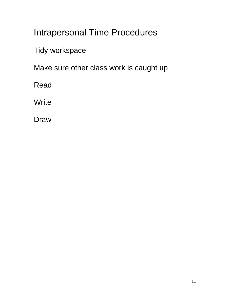### Intrapersonal Time Procedures

Tidy workspace

Make sure other class work is caught up

Read

**Write** 

Draw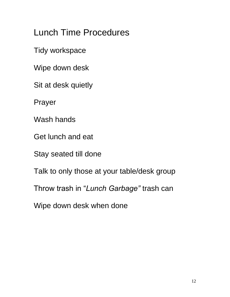Lunch Time Procedures

Tidy workspace

Wipe down desk

Sit at desk quietly

Prayer

Wash hands

Get lunch and eat

Stay seated till done

Talk to only those at your table/desk group

Throw trash in "*Lunch Garbage"* trash can

Wipe down desk when done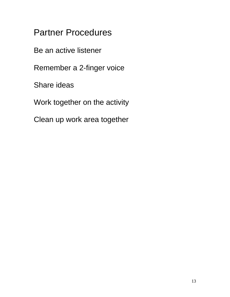Partner Procedures

Be an active listener

Remember a 2-finger voice

Share ideas

Work together on the activity

Clean up work area together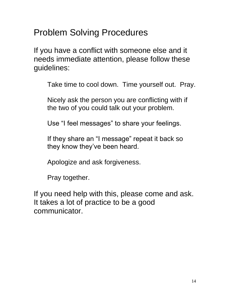Problem Solving Procedures

If you have a conflict with someone else and it needs immediate attention, please follow these guidelines:

Take time to cool down. Time yourself out. Pray.

Nicely ask the person you are conflicting with if the two of you could talk out your problem.

Use "I feel messages" to share your feelings.

If they share an "I message" repeat it back so they know they've been heard.

Apologize and ask forgiveness.

Pray together.

If you need help with this, please come and ask. It takes a lot of practice to be a good communicator.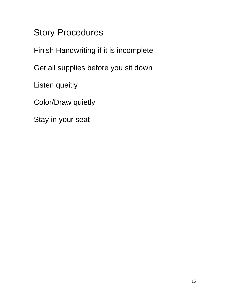## Story Procedures

Finish Handwriting if it is incomplete

Get all supplies before you sit down

Listen queitly

Color/Draw quietly

Stay in your seat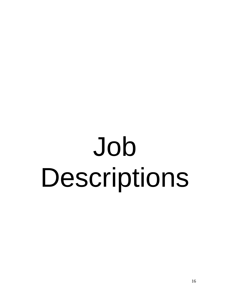# Job Descriptions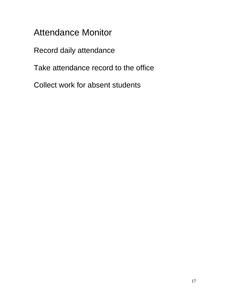### Attendance Monitor

Record daily attendance

Take attendance record to the office

Collect work for absent students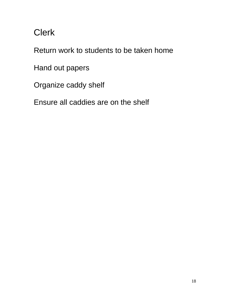# Clerk

Return work to students to be taken home

Hand out papers

Organize caddy shelf

Ensure all caddies are on the shelf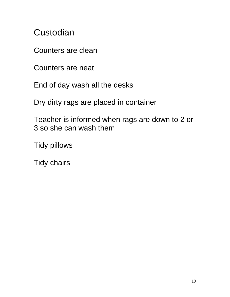#### **Custodian**

Counters are clean

Counters are neat

End of day wash all the desks

Dry dirty rags are placed in container

Teacher is informed when rags are down to 2 or 3 so she can wash them

Tidy pillows

Tidy chairs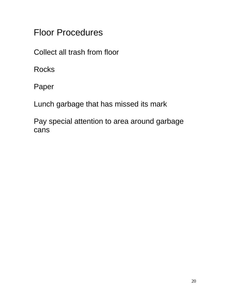Floor Procedures

Collect all trash from floor

**Rocks** 

Paper

Lunch garbage that has missed its mark

Pay special attention to area around garbage cans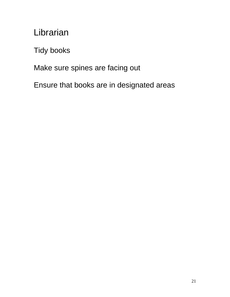Librarian

Tidy books

Make sure spines are facing out

Ensure that books are in designated areas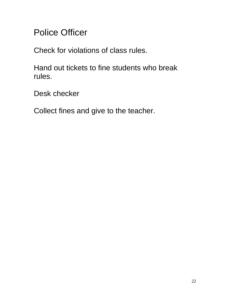Police Officer

Check for violations of class rules.

Hand out tickets to fine students who break rules.

Desk checker

Collect fines and give to the teacher.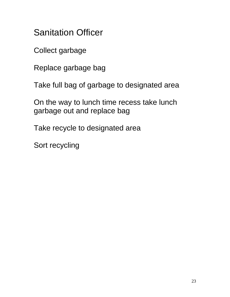Sanitation Officer

Collect garbage

Replace garbage bag

Take full bag of garbage to designated area

On the way to lunch time recess take lunch garbage out and replace bag

Take recycle to designated area

Sort recycling